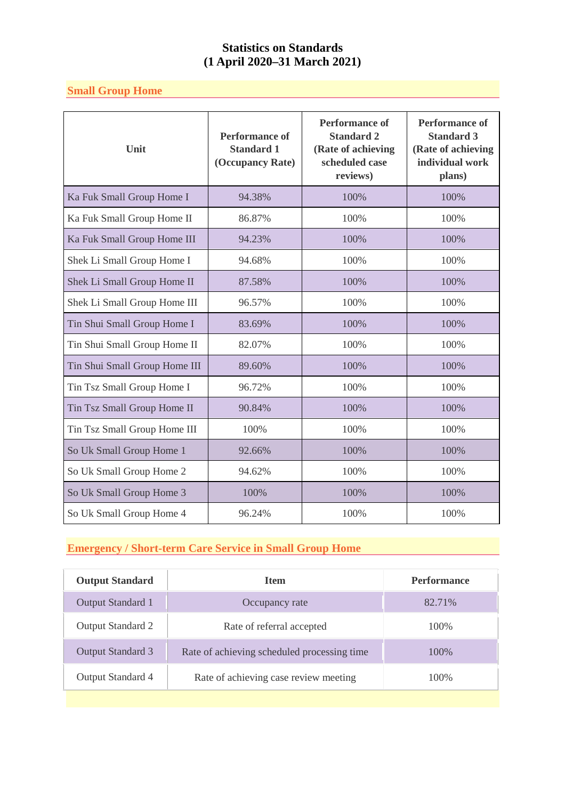### **Small Group Home**

| Unit                          | <b>Performance of</b><br><b>Standard 1</b><br>(Occupancy Rate) | <b>Performance of</b><br><b>Standard 2</b><br>(Rate of achieving<br>scheduled case<br>reviews) | <b>Performance of</b><br><b>Standard 3</b><br>(Rate of achieving<br>individual work<br>plans) |
|-------------------------------|----------------------------------------------------------------|------------------------------------------------------------------------------------------------|-----------------------------------------------------------------------------------------------|
| Ka Fuk Small Group Home I     | 94.38%                                                         | 100%                                                                                           | 100%                                                                                          |
| Ka Fuk Small Group Home II    | 86.87%                                                         | 100%                                                                                           | 100%                                                                                          |
| Ka Fuk Small Group Home III   | 94.23%                                                         | 100%                                                                                           | 100%                                                                                          |
| Shek Li Small Group Home I    | 94.68%                                                         | 100%                                                                                           | 100%                                                                                          |
| Shek Li Small Group Home II   | 87.58%                                                         | 100%                                                                                           | 100%                                                                                          |
| Shek Li Small Group Home III  | 96.57%                                                         | 100%                                                                                           | 100%                                                                                          |
| Tin Shui Small Group Home I   | 83.69%                                                         | 100%                                                                                           | 100%                                                                                          |
| Tin Shui Small Group Home II  | 82.07%                                                         | 100%                                                                                           | 100%                                                                                          |
| Tin Shui Small Group Home III | 89.60%                                                         | 100%                                                                                           | 100%                                                                                          |
| Tin Tsz Small Group Home I    | 96.72%                                                         | 100%                                                                                           | 100%                                                                                          |
| Tin Tsz Small Group Home II   | 90.84%                                                         | 100%                                                                                           | 100%                                                                                          |
| Tin Tsz Small Group Home III  | 100%                                                           | 100%                                                                                           | 100%                                                                                          |
| So Uk Small Group Home 1      | 92.66%                                                         | 100%                                                                                           | 100%                                                                                          |
| So Uk Small Group Home 2      | 94.62%                                                         | 100%                                                                                           | 100%                                                                                          |
| So Uk Small Group Home 3      | 100%                                                           | 100%                                                                                           | 100%                                                                                          |
| So Uk Small Group Home 4      | 96.24%                                                         | 100%                                                                                           | 100%                                                                                          |

# **Emergency / Short-term Care Service in Small Group Home**

| <b>Output Standard</b>   | <b>Item</b>                                 | <b>Performance</b> |
|--------------------------|---------------------------------------------|--------------------|
| Output Standard 1        | Occupancy rate                              | 82.71%             |
| Output Standard 2        | Rate of referral accepted                   | 100\%              |
| <b>Output Standard 3</b> | Rate of achieving scheduled processing time | 100\%              |
| Output Standard 4        | Rate of achieving case review meeting       | 100\%              |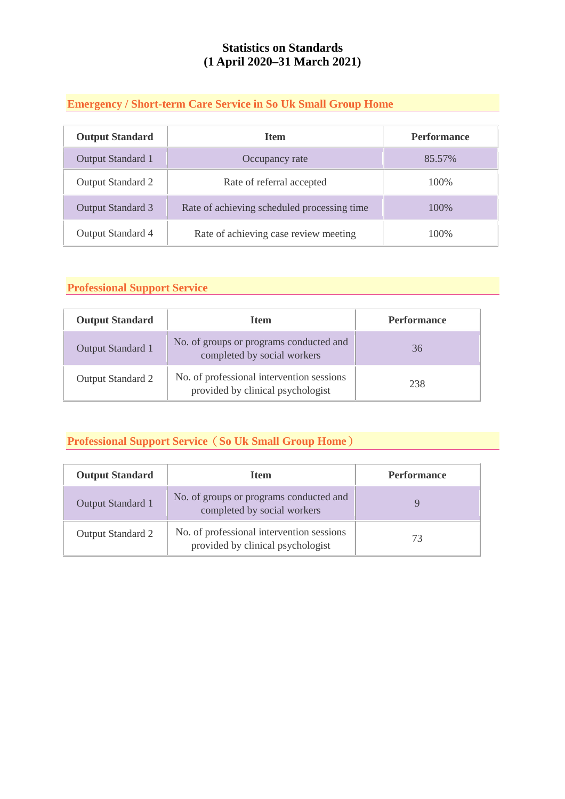### **Emergency / Short-term Care Service in So Uk Small Group Home**

| <b>Output Standard</b>   | <b>Item</b>                                 | <b>Performance</b> |
|--------------------------|---------------------------------------------|--------------------|
| Output Standard 1        | Occupancy rate                              | 85.57%             |
| Output Standard 2        | Rate of referral accepted                   | 100\%              |
| <b>Output Standard 3</b> | Rate of achieving scheduled processing time | 100\%              |
| Output Standard 4        | Rate of achieving case review meeting       | 100\%              |

## **Professional Support Service**

| <b>Output Standard</b> | <b>Item</b>                                                                    | <b>Performance</b> |
|------------------------|--------------------------------------------------------------------------------|--------------------|
| Output Standard 1      | No. of groups or programs conducted and<br>completed by social workers         | 36                 |
| Output Standard 2      | No. of professional intervention sessions<br>provided by clinical psychologist | 238                |

#### **Professional Support Service**(**So Uk Small Group Home**)

| <b>Output Standard</b> | <b>Item</b>                                                                    | <b>Performance</b> |
|------------------------|--------------------------------------------------------------------------------|--------------------|
| Output Standard 1      | No. of groups or programs conducted and<br>completed by social workers         |                    |
| Output Standard 2      | No. of professional intervention sessions<br>provided by clinical psychologist | 73                 |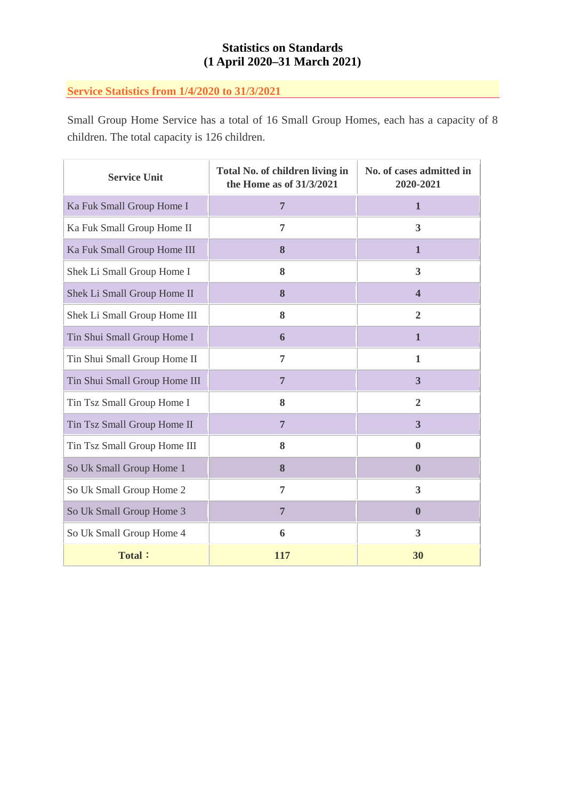### **Service Statistics from 1/4/2020 to 31/3/2021**

Small Group Home Service has a total of 16 Small Group Homes, each has a capacity of 8 children. The total capacity is 126 children.

| <b>Service Unit</b>           | Total No. of children living in<br>the Home as of 31/3/2021 | No. of cases admitted in<br>2020-2021 |  |
|-------------------------------|-------------------------------------------------------------|---------------------------------------|--|
| Ka Fuk Small Group Home I     | $\overline{7}$                                              | $\mathbf{1}$                          |  |
| Ka Fuk Small Group Home II    | 7                                                           | $\overline{\mathbf{3}}$               |  |
| Ka Fuk Small Group Home III   | 8                                                           | $\mathbf{1}$                          |  |
| Shek Li Small Group Home I    | 8                                                           | 3                                     |  |
| Shek Li Small Group Home II   | 8                                                           | $\overline{\mathbf{4}}$               |  |
| Shek Li Small Group Home III  | 8                                                           | $\overline{2}$                        |  |
| Tin Shui Small Group Home I   | 6                                                           | $\mathbf{1}$                          |  |
| Tin Shui Small Group Home II  | 7                                                           | 1                                     |  |
| Tin Shui Small Group Home III | $\overline{7}$                                              | 3                                     |  |
| Tin Tsz Small Group Home I    | 8                                                           | $\overline{2}$                        |  |
| Tin Tsz Small Group Home II   | $\overline{7}$                                              | $\overline{\mathbf{3}}$               |  |
| Tin Tsz Small Group Home III  | 8                                                           | $\bf{0}$                              |  |
| So Uk Small Group Home 1      | 8                                                           | $\bf{0}$                              |  |
| So Uk Small Group Home 2      | 7                                                           | 3                                     |  |
| So Uk Small Group Home 3      | $\overline{7}$                                              | $\bf{0}$                              |  |
| So Uk Small Group Home 4      | 6                                                           | 3                                     |  |
| <b>Total:</b>                 | <b>117</b>                                                  | 30                                    |  |